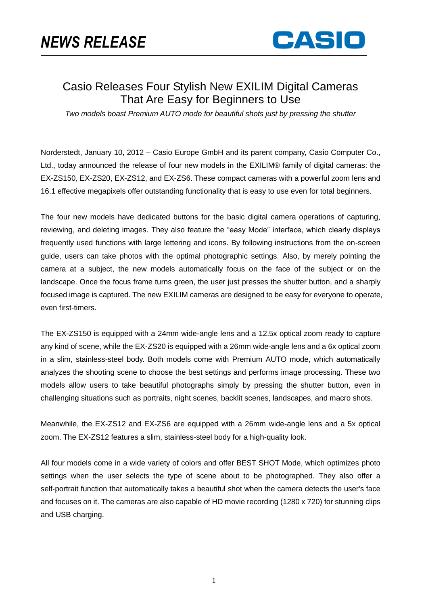

## Casio Releases Four Stylish New EXILIM Digital Cameras That Are Easy for Beginners to Use

*Two models boast Premium AUTO mode for beautiful shots just by pressing the shutter*

Norderstedt, January 10, 2012 – Casio Europe GmbH and its parent company, Casio Computer Co., Ltd., today announced the release of four new models in the EXILIM® family of digital cameras: the EX-ZS150, EX-ZS20, EX-ZS12, and EX-ZS6. These compact cameras with a powerful zoom lens and 16.1 effective megapixels offer outstanding functionality that is easy to use even for total beginners.

The four new models have dedicated buttons for the basic digital camera operations of capturing, reviewing, and deleting images. They also feature the "easy Mode" interface, which clearly displays frequently used functions with large lettering and icons. By following instructions from the on-screen guide, users can take photos with the optimal photographic settings. Also, by merely pointing the camera at a subject, the new models automatically focus on the face of the subject or on the landscape. Once the focus frame turns green, the user just presses the shutter button, and a sharply focused image is captured. The new EXILIM cameras are designed to be easy for everyone to operate, even first-timers.

The EX-ZS150 is equipped with a 24mm wide-angle lens and a 12.5x optical zoom ready to capture any kind of scene, while the EX-ZS20 is equipped with a 26mm wide-angle lens and a 6x optical zoom in a slim, stainless-steel body. Both models come with Premium AUTO mode, which automatically analyzes the shooting scene to choose the best settings and performs image processing. These two models allow users to take beautiful photographs simply by pressing the shutter button, even in challenging situations such as portraits, night scenes, backlit scenes, landscapes, and macro shots.

Meanwhile, the EX-ZS12 and EX-ZS6 are equipped with a 26mm wide-angle lens and a 5x optical zoom. The EX-ZS12 features a slim, stainless-steel body for a high-quality look.

All four models come in a wide variety of colors and offer BEST SHOT Mode, which optimizes photo settings when the user selects the type of scene about to be photographed. They also offer a self-portrait function that automatically takes a beautiful shot when the camera detects the user's face and focuses on it. The cameras are also capable of HD movie recording (1280 x 720) for stunning clips and USB charging.